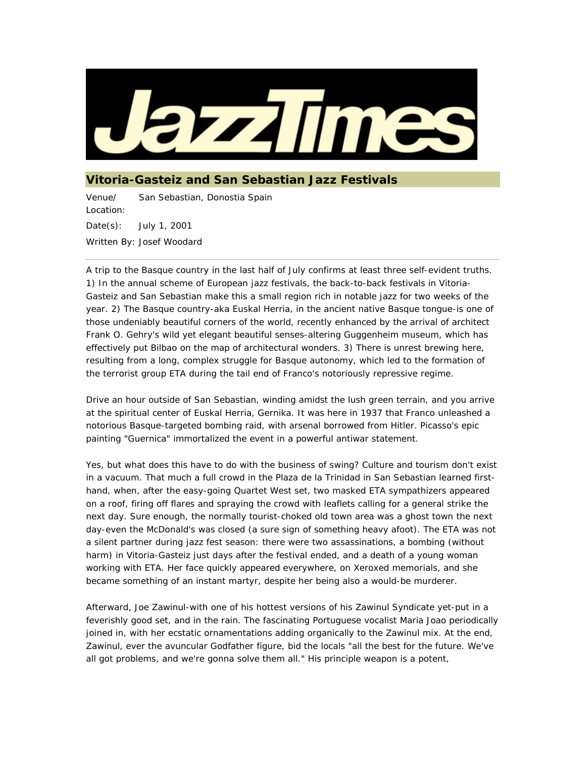

## **Vitoria-Gasteiz and San Sebastian Jazz Festivals**

Venue/ Location: San Sebastian, Donostia Spain Date(s): July 1, 2001 Written By: Josef Woodard

A trip to the Basque country in the last half of July confirms at least three self-evident truths. 1) In the annual scheme of European jazz festivals, the back-to-back festivals in Vitoria-Gasteiz and San Sebastian make this a small region rich in notable jazz for two weeks of the year. 2) The Basque country-aka Euskal Herria, in the ancient native Basque tongue-is one of those undeniably beautiful corners of the world, recently enhanced by the arrival of architect Frank O. Gehry's wild yet elegant beautiful senses-altering Guggenheim museum, which has effectively put Bilbao on the map of architectural wonders. 3) There is unrest brewing here, resulting from a long, complex struggle for Basque autonomy, which led to the formation of the terrorist group ETA during the tail end of Franco's notoriously repressive regime.

Drive an hour outside of San Sebastian, winding amidst the lush green terrain, and you arrive at the spiritual center of Euskal Herria, Gernika. It was here in 1937 that Franco unleashed a notorious Basque-targeted bombing raid, with arsenal borrowed from Hitler. Picasso's epic painting "Guernica" immortalized the event in a powerful antiwar statement.

Yes, but what does this have to do with the business of swing? Culture and tourism don't exist in a vacuum. That much a full crowd in the Plaza de la Trinidad in San Sebastian learned firsthand, when, after the easy-going Quartet West set, two masked ETA sympathizers appeared on a roof, firing off flares and spraying the crowd with leaflets calling for a general strike the next day. Sure enough, the normally tourist-choked old town area was a ghost town the next day-even the McDonald's was closed (a sure sign of something heavy afoot). The ETA was not a silent partner during jazz fest season: there were two assassinations, a bombing (without harm) in Vitoria-Gasteiz just days after the festival ended, and a death of a young woman working with ETA. Her face quickly appeared everywhere, on Xeroxed memorials, and she became something of an instant martyr, despite her being also a would-be murderer.

Afterward, Joe Zawinul-with one of his hottest versions of his Zawinul Syndicate yet-put in a feverishly good set, and in the rain. The fascinating Portuguese vocalist Maria Joao periodically joined in, with her ecstatic ornamentations adding organically to the Zawinul mix. At the end, Zawinul, ever the avuncular Godfather figure, bid the locals "all the best for the future. We've all got problems, and we're gonna solve them all." His principle weapon is a potent,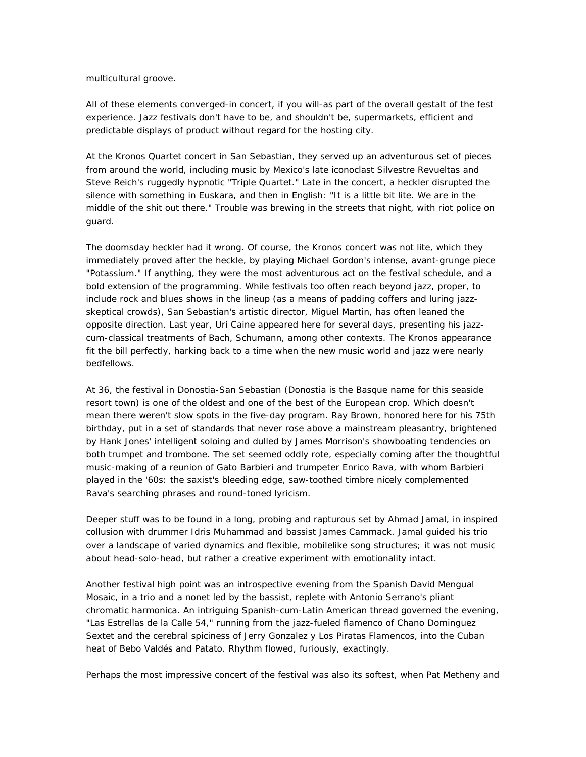## multicultural groove.

All of these elements converged-in concert, if you will-as part of the overall gestalt of the fest experience. Jazz festivals don't have to be, and shouldn't be, supermarkets, efficient and predictable displays of product without regard for the hosting city.

At the Kronos Quartet concert in San Sebastian, they served up an adventurous set of pieces from around the world, including music by Mexico's late iconoclast Silvestre Revueltas and Steve Reich's ruggedly hypnotic "Triple Quartet." Late in the concert, a heckler disrupted the silence with something in Euskara, and then in English: "It is a little bit lite. We are in the middle of the shit out there." Trouble was brewing in the streets that night, with riot police on guard.

The doomsday heckler had it wrong. Of course, the Kronos concert was not lite, which they immediately proved after the heckle, by playing Michael Gordon's intense, avant-grunge piece "Potassium." If anything, they were the most adventurous act on the festival schedule, and a bold extension of the programming. While festivals too often reach beyond jazz, proper, to include rock and blues shows in the lineup (as a means of padding coffers and luring jazzskeptical crowds), San Sebastian's artistic director, Miguel Martin, has often leaned the opposite direction. Last year, Uri Caine appeared here for several days, presenting his jazzcum-classical treatments of Bach, Schumann, among other contexts. The Kronos appearance fit the bill perfectly, harking back to a time when the new music world and jazz were nearly bedfellows.

At 36, the festival in Donostia-San Sebastian (Donostia is the Basque name for this seaside resort town) is one of the oldest and one of the best of the European crop. Which doesn't mean there weren't slow spots in the five-day program. Ray Brown, honored here for his 75th birthday, put in a set of standards that never rose above a mainstream pleasantry, brightened by Hank Jones' intelligent soloing and dulled by James Morrison's showboating tendencies on both trumpet and trombone. The set seemed oddly rote, especially coming after the thoughtful music-making of a reunion of Gato Barbieri and trumpeter Enrico Rava, with whom Barbieri played in the '60s: the saxist's bleeding edge, saw-toothed timbre nicely complemented Rava's searching phrases and round-toned lyricism.

Deeper stuff was to be found in a long, probing and rapturous set by Ahmad Jamal, in inspired collusion with drummer Idris Muhammad and bassist James Cammack. Jamal guided his trio over a landscape of varied dynamics and flexible, mobilelike song structures; it was not music about head-solo-head, but rather a creative experiment with emotionality intact.

Another festival high point was an introspective evening from the Spanish David Mengual Mosaic, in a trio and a nonet led by the bassist, replete with Antonio Serrano's pliant chromatic harmonica. An intriguing Spanish-cum-Latin American thread governed the evening, "Las Estrellas de la Calle 54," running from the jazz-fueled flamenco of Chano Dominguez Sextet and the cerebral spiciness of Jerry Gonzalez y Los Piratas Flamencos, into the Cuban heat of Bebo Valdés and Patato. Rhythm flowed, furiously, exactingly.

Perhaps the most impressive concert of the festival was also its softest, when Pat Metheny and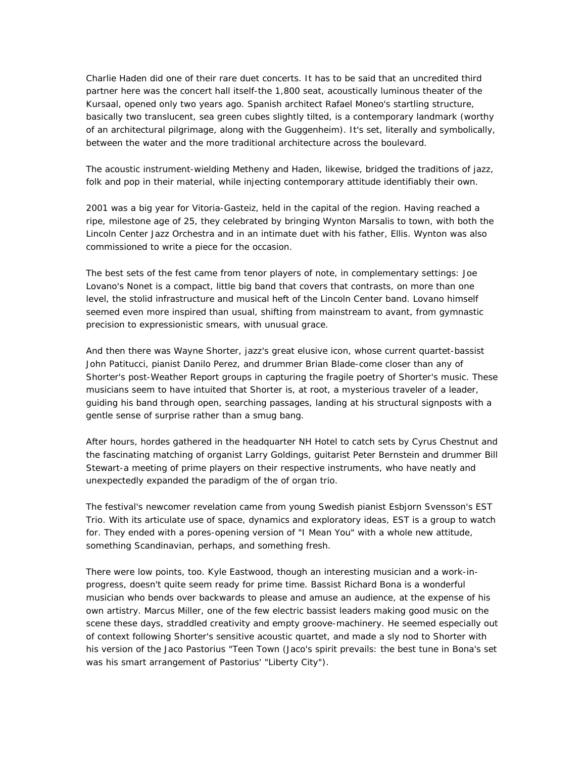Charlie Haden did one of their rare duet concerts. It has to be said that an uncredited third partner here was the concert hall itself-the 1,800 seat, acoustically luminous theater of the Kursaal, opened only two years ago. Spanish architect Rafael Moneo's startling structure, basically two translucent, sea green cubes slightly tilted, is a contemporary landmark (worthy of an architectural pilgrimage, along with the Guggenheim). It's set, literally and symbolically, between the water and the more traditional architecture across the boulevard.

The acoustic instrument-wielding Metheny and Haden, likewise, bridged the traditions of jazz, folk and pop in their material, while injecting contemporary attitude identifiably their own.

2001 was a big year for Vitoria-Gasteiz, held in the capital of the region. Having reached a ripe, milestone age of 25, they celebrated by bringing Wynton Marsalis to town, with both the Lincoln Center Jazz Orchestra and in an intimate duet with his father, Ellis. Wynton was also commissioned to write a piece for the occasion.

The best sets of the fest came from tenor players of note, in complementary settings: Joe Lovano's Nonet is a compact, little big band that covers that contrasts, on more than one level, the stolid infrastructure and musical heft of the Lincoln Center band. Lovano himself seemed even more inspired than usual, shifting from mainstream to avant, from gymnastic precision to expressionistic smears, with unusual grace.

And then there was Wayne Shorter, jazz's great elusive icon, whose current quartet-bassist John Patitucci, pianist Danilo Perez, and drummer Brian Blade-come closer than any of Shorter's post-Weather Report groups in capturing the fragile poetry of Shorter's music. These musicians seem to have intuited that Shorter is, at root, a mysterious traveler of a leader, guiding his band through open, searching passages, landing at his structural signposts with a gentle sense of surprise rather than a smug bang.

After hours, hordes gathered in the headquarter NH Hotel to catch sets by Cyrus Chestnut and the fascinating matching of organist Larry Goldings, guitarist Peter Bernstein and drummer Bill Stewart-a meeting of prime players on their respective instruments, who have neatly and unexpectedly expanded the paradigm of the of organ trio.

The festival's newcomer revelation came from young Swedish pianist Esbjorn Svensson's EST Trio. With its articulate use of space, dynamics and exploratory ideas, EST is a group to watch for. They ended with a pores-opening version of "I Mean You" with a whole new attitude, something Scandinavian, perhaps, and something fresh.

There were low points, too. Kyle Eastwood, though an interesting musician and a work-inprogress, doesn't quite seem ready for prime time. Bassist Richard Bona is a wonderful musician who bends over backwards to please and amuse an audience, at the expense of his own artistry. Marcus Miller, one of the few electric bassist leaders making good music on the scene these days, straddled creativity and empty groove-machinery. He seemed especially out of context following Shorter's sensitive acoustic quartet, and made a sly nod to Shorter with his version of the Jaco Pastorius "Teen Town (Jaco's spirit prevails: the best tune in Bona's set was his smart arrangement of Pastorius' "Liberty City").